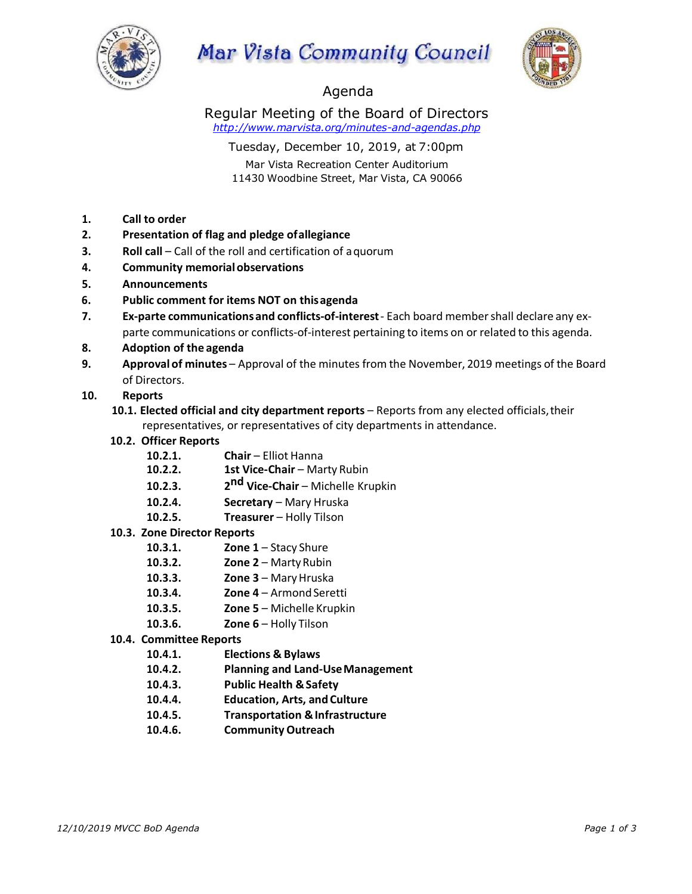

# **Mar Vista Community Council**



## Agenda

Regular Meeting of the Board of Directors *http://www.marvista.org/minutes-and-agendas.php*

Tuesday, December 10, 2019, at 7:00pm

Mar Vista Recreation Center Auditorium 11430 Woodbine Street, Mar Vista, CA 90066

- **1. Call to order**
- **2. Presentation of flag and pledge ofallegiance**
- **3. Roll call** Call of the roll and certification of a quorum
- **4. Community memorialobservations**
- **5. Announcements**
- **6. Public comment for items NOT on thisagenda**
- **7. Ex-parte communicationsand conflicts-of-interest** Each board membershall declare any exparte communications or conflicts-of-interest pertaining to items on or related to this agenda.
- **8. Adoption of the agenda**
- **9. Approval of minutes** Approval of the minutes from the November, 2019 meetings of the Board of Directors.

#### **10. Reports**

- **10.1. Elected official and city department reports**  Reports from any elected officials,their representatives, or representatives of city departments in attendance.
- **10.2. Officer Reports**
	- 10.2.1. **Chair** Elliot Hanna
	- **10.2.2. 1st Vice-Chair Marty Rubin**
	- **10.2.3. 2nd Vice-Chair**  Michelle Krupkin
	- 10.2.4. **Secretary** Mary Hruska
	- **10.2.5. Treasurer**  Holly Tilson
- **10.3. Zone Director Reports**
	- **10.3.1. Zone 1** Stacy Shure
	- **10.3.2. Zone 2**  MartyRubin
	- **10.3.3. Zone 3**  MaryHruska
	- **10.3.4. Zone 4** Armond Seretti
	- **10.3.5. Zone 5**  Michelle Krupkin
	- **10.3.6. Zone 6**  Holly Tilson
- **10.4. Committee Reports**
	- **10.4.1. Elections & Bylaws**
	- **10.4.2. Planning and Land-UseManagement**
	- **10.4.3. Public Health &Safety**
	- **10.4.4. Education, Arts, and Culture**
	- **10.4.5. Transportation &Infrastructure**
	- **10.4.6. Community Outreach**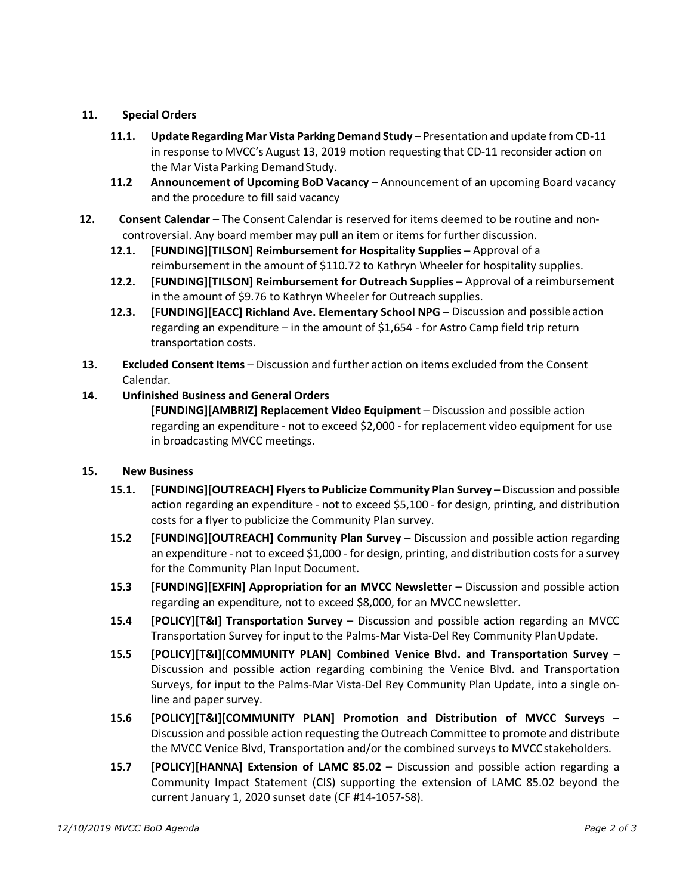### **11. Special Orders**

- **11.1. Update Regarding Mar Vista ParkingDemand Study** Presentation and update from CD-11 in response to MVCC's August 13, 2019 motion requesting that CD-11 reconsider action on the Mar Vista Parking Demand Study.
- **11.2 Announcement of Upcoming BoD Vacancy**  Announcement of an upcoming Board vacancy and the procedure to fill said vacancy
- **12. Consent Calendar**  The Consent Calendar is reserved for items deemed to be routine and noncontroversial. Any board member may pull an item or items for further discussion.
	- **12.1. [FUNDING][TILSON] Reimbursement for Hospitality Supplies**  Approval of a reimbursement in the amount of \$110.72 to Kathryn Wheeler for hospitality supplies.
	- **12.2. [FUNDING][TILSON] Reimbursement for Outreach Supplies**  Approval of a reimbursement in the amount of \$9.76 to Kathryn Wheeler for Outreach supplies.
	- **12.3. [FUNDING][EACC] Richland Ave. Elementary School NPG** Discussion and possible action regarding an expenditure – in the amount of \$1,654 - for Astro Camp field trip return transportation costs.
- **13. Excluded Consent Items** Discussion and further action on items excluded from the Consent Calendar.

#### **14. Unfinished Business and General Orders**

**[FUNDING][AMBRIZ] Replacement Video Equipment** – Discussion and possible action regarding an expenditure - not to exceed \$2,000 - for replacement video equipment for use in broadcasting MVCC meetings.

#### **15. New Business**

- **15.1. [FUNDING][OUTREACH] Flyersto Publicize Community Plan Survey** Discussion and possible action regarding an expenditure - not to exceed \$5,100 - for design, printing, and distribution costs for a flyer to publicize the Community Plan survey.
- **15.2 [FUNDING][OUTREACH] Community Plan Survey**  Discussion and possible action regarding an expenditure - not to exceed \$1,000 - for design, printing, and distribution costs for a survey for the Community Plan Input Document.
- **15.3 [FUNDING][EXFIN] Appropriation for an MVCC Newsletter**  Discussion and possible action regarding an expenditure, not to exceed \$8,000, for an MVCC newsletter.
- **15.4 [POLICY][T&I] Transportation Survey**  Discussion and possible action regarding an MVCC Transportation Survey for input to the Palms-Mar Vista-Del Rey Community PlanUpdate.
- **15.5 [POLICY][T&I][COMMUNITY PLAN] Combined Venice Blvd. and Transportation Survey**  Discussion and possible action regarding combining the Venice Blvd. and Transportation Surveys, for input to the Palms-Mar Vista-Del Rey Community Plan Update, into a single online and paper survey.
- **15.6 [POLICY][T&I][COMMUNITY PLAN] Promotion and Distribution of MVCC Surveys**  Discussion and possible action requesting the Outreach Committee to promote and distribute the MVCC Venice Blvd, Transportation and/or the combined surveys to MVCCstakeholders.
- **15.7 [POLICY][HANNA] Extension of LAMC 85.02**  Discussion and possible action regarding a Community Impact Statement (CIS) supporting the extension of LAMC 85.02 beyond the current January 1, 2020 sunset date (CF #14-1057-S8).